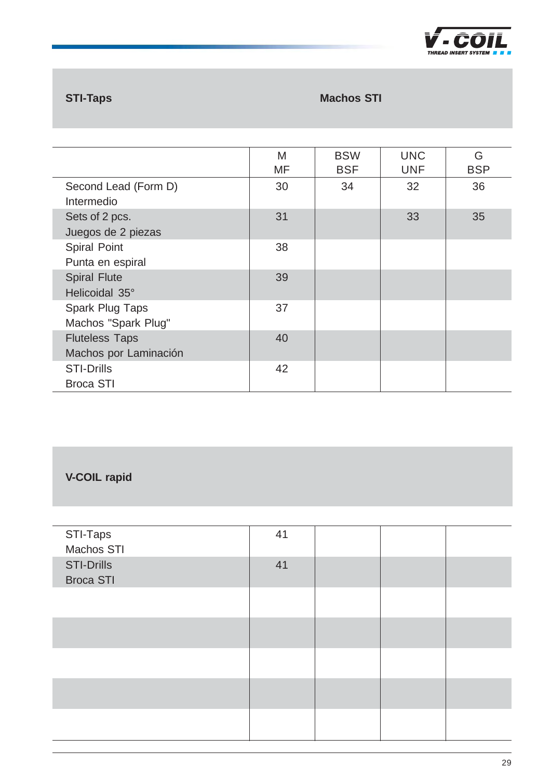

# **STI-Taps Machos STI**

|                                                | M<br>MF | <b>BSW</b><br><b>BSF</b> | <b>UNC</b><br><b>UNF</b> | G<br><b>BSP</b> |
|------------------------------------------------|---------|--------------------------|--------------------------|-----------------|
| Second Lead (Form D)<br>Intermedio             | 30      | 34                       | 32                       | 36              |
| Sets of 2 pcs.<br>Juegos de 2 piezas           | 31      |                          | 33                       | 35              |
| <b>Spiral Point</b><br>Punta en espiral        | 38      |                          |                          |                 |
| <b>Spiral Flute</b><br>Helicoidal 35°          | 39      |                          |                          |                 |
| <b>Spark Plug Taps</b><br>Machos "Spark Plug"  | 37      |                          |                          |                 |
| <b>Fluteless Taps</b><br>Machos por Laminación | 40      |                          |                          |                 |
| <b>STI-Drills</b><br><b>Broca STI</b>          | 42      |                          |                          |                 |

# **V-COIL rapid**

| STI-Taps<br>Machos STI                | 41 |  |  |
|---------------------------------------|----|--|--|
| <b>STI-Drills</b><br><b>Broca STI</b> | 41 |  |  |
|                                       |    |  |  |
|                                       |    |  |  |
|                                       |    |  |  |
|                                       |    |  |  |
|                                       |    |  |  |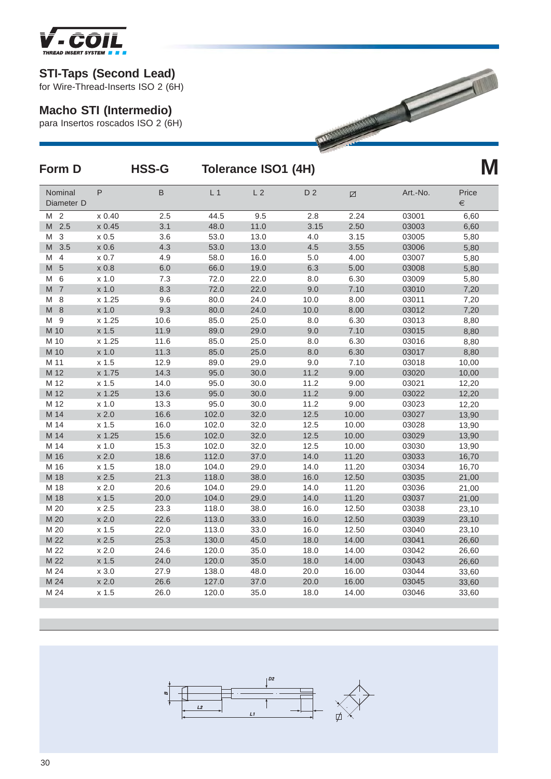

# **Macho STI (Intermedio)**

| IMKEAD INSEKI SYSIEM <b>&amp; B</b> |         |                                    |                     |                |                |                     |          |                |
|-------------------------------------|---------|------------------------------------|---------------------|----------------|----------------|---------------------|----------|----------------|
| <b>STI-Taps (Second Lead)</b>       |         | for Wire-Thread-Inserts ISO 2 (6H) |                     |                |                |                     |          |                |
| <b>Macho STI (Intermedio)</b>       |         | para Insertos roscados ISO 2 (6H)  |                     |                |                | <b>WANDARD ROOM</b> |          |                |
| Form D                              |         | <b>HSS-G</b>                       | Tolerance ISO1 (4H) | M              |                |                     |          |                |
| Nominal<br>Diameter D               | P       | B                                  | L <sub>1</sub>      | L <sub>2</sub> | D <sub>2</sub> | Ø                   | Art.-No. | Price<br>$\in$ |
| M <sub>2</sub>                      | x 0.40  | 2.5                                | 44.5                | 9.5            | 2.8            | 2.24                | 03001    | 6,60           |
| 2.5<br>M                            | x 0.45  | 3.1                                | 48.0                | 11.0           | 3.15           | 2.50                | 03003    | 6,60           |
| 3<br>M                              | $x$ 0.5 | 3.6                                | 53.0                | 13.0           | 4.0            | 3.15                | 03005    | 5,80           |
| M<br>3.5                            | x 0.6   | 4.3                                | 53.0                | 13.0           | 4.5            | 3.55                | 03006    | 5,80           |
| $\overline{4}$<br>M                 | x 0.7   | 4.9                                | 58.0                | 16.0           | 5.0            | 4.00                | 03007    | 5,80           |
| $5\phantom{1}$<br>M                 | x 0.8   | 6.0                                | 66.0                | 19.0           | 6.3            | 5.00                | 03008    | 5,80           |
| 6<br>M                              | $x$ 1.0 | 7.3                                | 72.0                | 22.0           | 8.0            | 6.30                | 03009    | 5,80           |
| $\overline{7}$<br>M                 | x 1.0   | 8.3                                | 72.0                | 22.0           | 9.0            | 7.10                | 03010    | 7,20           |
| 8<br>M                              | x 1.25  | 9.6                                | 80.0                | 24.0           | 10.0           | 8.00                | 03011    | 7,20           |
| M<br>8                              | $x$ 1.0 | 9.3                                | 80.0                | 24.0           | 10.0           | 8.00                | 03012    | 7,20           |
| -9<br>M                             | x 1.25  | 10.6                               | 85.0                | 25.0           | 8.0            | 6.30                | 03013    | 8,80           |
| M 10                                | x 1.5   | 11.9                               | 89.0                | 29.0           | 9.0            | 7.10                | 03015    | 8,80           |
| M 10                                | x 1.25  | 11.6                               | 85.0                | 25.0           | 8.0            | 6.30                | 03016    | 8,80           |
| M 10                                | $x$ 1.0 | 11.3                               | 85.0                | 25.0           | 8.0            | 6.30                | 03017    | 8,80           |
| M 11                                | x 1.5   | 12.9                               | 89.0                | 29.0           | 9.0            | 7.10                | 03018    | 10,00          |
| M 12                                | x 1.75  | 14.3                               | 95.0                | 30.0           | 11.2           | 9.00                | 03020    | 10,00          |
| M 12                                | x 1.5   | 14.0                               | 95.0                | 30.0           | 11.2           | 9.00                | 03021    | 12,20          |
| M 12                                | x 1.25  | 13.6                               | 95.0                | 30.0           | 11.2           | 9.00                | 03022    | 12,20          |
| M 12                                | $x$ 1.0 | 13.3                               | 95.0                | 30.0           | 11.2           | 9.00                | 03023    | 12,20          |
| M 14                                | x 2.0   | 16.6                               | 102.0               | 32.0           | 12.5           | 10.00               | 03027    | 13,90          |
| M 14                                | x 1.5   | 16.0                               | 102.0               | 32.0           | 12.5           | 10.00               | 03028    | 13,90          |
| M 14                                | x 1.25  | 15.6                               | 102.0               | 32.0           | 12.5           | 10.00               | 03029    | 13,90          |
| M 14                                | $x$ 1.0 | 15.3                               | 102.0               | 32.0           | 12.5           | 10.00               | 03030    | 13,90          |
| M 16                                | x 2.0   | 18.6                               | 112.0               | 37.0           | 14.0           | 11.20               | 03033    | 16,70          |
| M 16                                | x 1.5   | 18.0                               | 104.0               | 29.0           | 14.0           | 11.20               | 03034    | 16,70          |
| M 18                                | x 2.5   | 21.3                               | 118.0               | 38.0           | 16.0           | 12.50               | 03035    | 21,00          |
| M 18                                | x 2.0   | 20.6                               | 104.0               | 29.0           | 14.0           | 11.20               | 03036    | 21,00          |
| M 18                                | x 1.5   | 20.0                               | 104.0               | 29.0           | 14.0           | 11.20               | 03037    | 21,00          |
| M 20                                | x 2.5   | 23.3                               | 118.0               | 38.0           | 16.0           | 12.50               | 03038    | 23,10          |
| M 20                                | x 2.0   | 22.6                               | 113.0               | 33.0           | 16.0           | 12.50               | 03039    | 23,10          |
| M 20                                | x 1.5   | 22.0                               | 113.0               | 33.0           | 16.0           | 12.50               | 03040    | 23,10          |
| M 22                                | x 2.5   | 25.3                               | 130.0               | 45.0           | 18.0           | 14.00               | 03041    | 26,60          |
| M 22                                | x 2.0   | 24.6                               | 120.0               | 35.0           | 18.0           | 14.00               | 03042    | 26,60          |
| M 22                                | x 1.5   | 24.0                               | 120.0               | 35.0           | 18.0           | 14.00               | 03043    | 26,60          |
| M 24                                | x 3.0   | 27.9                               | 138.0               | 48.0           | 20.0           | 16.00               | 03044    | 33,60          |
| M 24                                | x 2.0   | 26.6                               | 127.0               | 37.0           | 20.0           | 16.00               | 03045    | 33,60          |
| M 24                                | $x$ 1.5 | 26.0                               | 120.0               | 35.0           | 18.0           | 14.00               | 03046    | 33,60          |

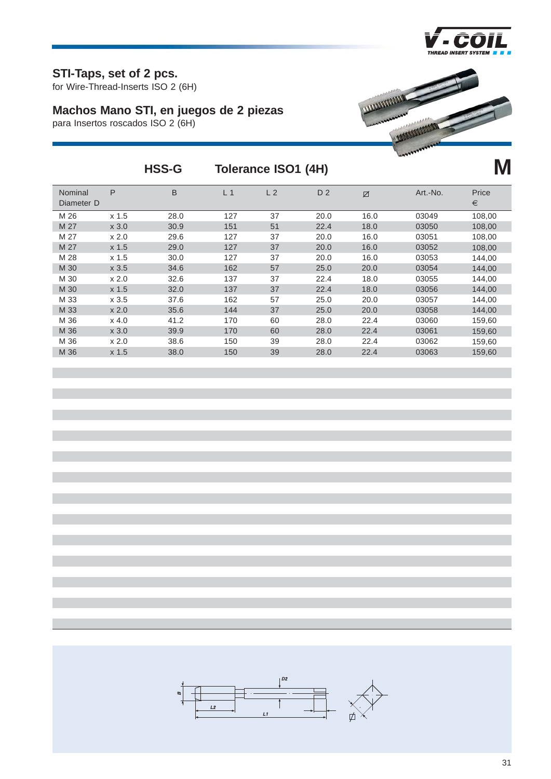

**M**

#### **STI-Taps, set of 2 pcs.**

for Wire-Thread-Inserts ISO 2 (6H)

# **Machos Mano STI, en juegos de 2 piezas**

para Insertos roscados ISO 2 (6H)



# **HSS-G Tolerance ISO1 (4H)**

| Nominal<br>Diameter D | P                | B    | L <sub>1</sub> | L <sub>2</sub> | D <sub>2</sub> | Ø    | Art.-No. | Price<br>€ |
|-----------------------|------------------|------|----------------|----------------|----------------|------|----------|------------|
| M 26                  | x <sub>1.5</sub> | 28.0 | 127            | 37             | 20.0           | 16.0 | 03049    | 108,00     |
| M 27                  | x 3.0            | 30.9 | 151            | 51             | 22.4           | 18.0 | 03050    | 108,00     |
| M 27                  | x 2.0            | 29.6 | 127            | 37             | 20.0           | 16.0 | 03051    | 108,00     |
| M 27                  | $x$ 1.5          | 29.0 | 127            | 37             | 20.0           | 16.0 | 03052    | 108,00     |
| M 28                  | x <sub>1.5</sub> | 30.0 | 127            | 37             | 20.0           | 16.0 | 03053    | 144,00     |
| M 30                  | $x$ 3.5          | 34.6 | 162            | 57             | 25.0           | 20.0 | 03054    | 144,00     |
| M 30                  | x 2.0            | 32.6 | 137            | 37             | 22.4           | 18.0 | 03055    | 144,00     |
| M 30                  | x <sub>1.5</sub> | 32.0 | 137            | 37             | 22.4           | 18.0 | 03056    | 144,00     |
| M 33                  | $x$ 3.5          | 37.6 | 162            | 57             | 25.0           | 20.0 | 03057    | 144,00     |
| M 33                  | x 2.0            | 35.6 | 144            | 37             | 25.0           | 20.0 | 03058    | 144,00     |
| M 36                  | x 4.0            | 41.2 | 170            | 60             | 28.0           | 22.4 | 03060    | 159,60     |
| M 36                  | x 3.0            | 39.9 | 170            | 60             | 28.0           | 22.4 | 03061    | 159,60     |
| M 36                  | x 2.0            | 38.6 | 150            | 39             | 28.0           | 22.4 | 03062    | 159,60     |
| M 36                  | x <sub>1.5</sub> | 38.0 | 150            | 39             | 28.0           | 22.4 | 03063    | 159.60     |
|                       |                  |      |                |                |                |      |          |            |

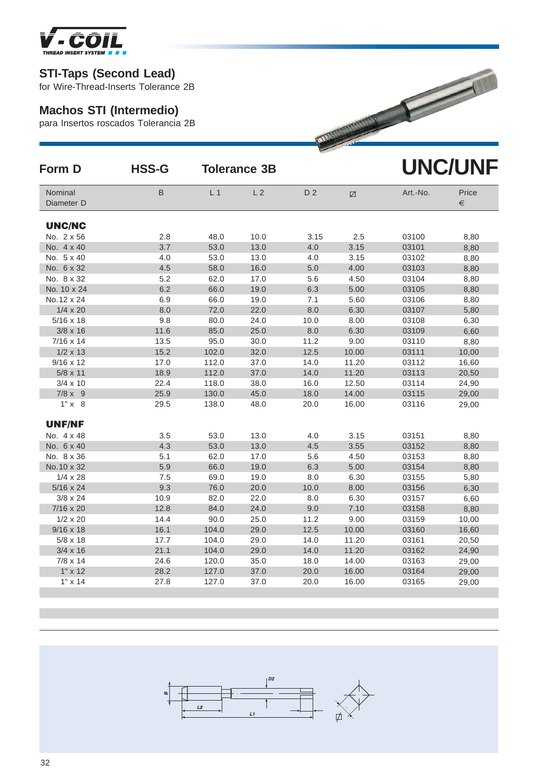

#### **Machos STI (Intermedio)**

| <b>STI-Taps (Second Lead)</b><br>for Wire-Thread-Inserts Tolerance 2B<br><b>Machos STI (Intermedio)</b><br><b>WARMAN MARKET</b><br>para Insertos roscados Tolerancia 2B<br><b>UNC/UNF</b><br><b>HSS-G</b><br><b>Tolerance 3B</b><br>Form D<br>D <sub>2</sub><br>Nominal<br>B<br>L <sub>1</sub><br>L <sub>2</sub><br>Art.-No.<br>Price<br>Ø<br>Diameter D<br>€<br><b>UNC/NC</b><br>No. 2 x 56<br>2.8<br>48.0<br>10.0<br>3.15<br>2.5<br>03100<br>8,80<br>No. 4 x 40<br>3.7<br>53.0<br>13.0<br>3.15<br>03101<br>4.0<br>8,80<br>4.0<br>53.0<br>13.0<br>3.15<br>03102<br>No. 5 x 40<br>4.0<br>8,80<br>No. 6 x 32<br>4.5<br>58.0<br>16.0<br>5.0<br>4.00<br>8,80<br>03103<br>No. 8 x 32<br>5.2<br>62.0<br>17.0<br>4.50<br>03104<br>8,80<br>5.6<br>No. 10 x 24<br>6.2<br>66.0<br>19.0<br>5.00<br>03105<br>6.3<br>8,80<br>No. 12 x 24<br>66.0<br>19.0<br>7.1<br>5.60<br>03106<br>6.9<br>8,80<br>$1/4 \times 20$<br>72.0<br>22.0<br>8.0<br>6.30<br>8.0<br>03107<br>5,80<br>$5/16 \times 18$<br>24.0<br>10.0<br>8.00<br>9.8<br>80.0<br>03108<br>6,30<br>$3/8 \times 16$<br>11.6<br>85.0<br>25.0<br>8.0<br>6.30<br>03109<br>6,60<br>$7/16 \times 14$<br>13.5<br>95.0<br>11.2<br>03110<br>8,80<br>30.0<br>9.00<br>15.2<br>$1/2 \times 13$<br>102.0<br>32.0<br>12.5<br>03111<br>10,00<br>10.00<br>$9/16 \times 12$<br>112.0<br>17.0<br>37.0<br>14.0<br>11.20<br>03112<br>16,60<br>5/8 x 11<br>18.9<br>112.0<br>37.0<br>14.0<br>11.20<br>03113<br>20,50<br>$3/4 \times 10$<br>22.4<br>118.0<br>38.0<br>16.0<br>12.50<br>03114<br>24,90<br>$7/8 \times 9$<br>25.9<br>130.0<br>45.0<br>18.0<br>14.00<br>03115<br>29,00<br>$1" \times 8$<br>29.5<br>138.0<br>48.0<br>20.0<br>16.00<br>03116<br>29,00<br><b>UNF/NF</b><br>No. 4 x 48<br>3.5<br>53.0<br>13.0<br>4.0<br>3.15<br>03151<br>8,80<br>No. 6 x 40<br>13.0<br>3.55<br>4.3<br>53.0<br>4.5<br>03152<br>8,80<br>No. 8 x 36<br>5.1<br>62.0<br>17.0<br>5.6<br>4.50<br>03153<br>8,80<br>5.9<br>No. 10 x 32<br>66.0<br>19.0<br>6.3<br>5.00<br>03154<br>8,80<br>6.30<br>$1/4 \times 28$<br>7.5<br>69.0<br>19.0<br>8.0<br>03155<br>5,80<br>$5/16 \times 24$<br>9.3<br>76.0<br>20.0<br>10.0<br>8.00<br>03156<br>6,30<br>$3/8 \times 24$<br>10.9<br>82.0<br>22.0<br>8.0<br>6.30<br>03157<br>6,60<br>12.8<br>84.0<br>7.10<br>7/16 x 20<br>24.0<br>9.0<br>03158<br>8,80<br>$1/2 \times 20$<br>11.2<br>14.4<br>90.0<br>25.0<br>9.00<br>03159<br>10,00<br>16.1<br>12.5<br>$9/16 \times 18$<br>104.0<br>29.0<br>10.00<br>03160<br>16,60<br>$5/8 \times 18$<br>17.7<br>104.0<br>29.0<br>14.0<br>03161<br>11.20<br>20,50<br>21.1<br>$3/4 \times 16$<br>104.0<br>29.0<br>14.0<br>11.20<br>03162<br>24,90<br>$7/8 \times 14$<br>24.6<br>120.0<br>35.0<br>18.0<br>14.00<br>03163<br>29,00<br>127.0<br>$1" \times 12$<br>28.2<br>37.0<br>20.0<br>16.00<br>03164<br>29,00<br>$1" \times 14$<br>27.8<br>127.0<br>37.0<br>16.00<br>20.0<br>03165<br>29,00 |  |  |  |  |
|----------------------------------------------------------------------------------------------------------------------------------------------------------------------------------------------------------------------------------------------------------------------------------------------------------------------------------------------------------------------------------------------------------------------------------------------------------------------------------------------------------------------------------------------------------------------------------------------------------------------------------------------------------------------------------------------------------------------------------------------------------------------------------------------------------------------------------------------------------------------------------------------------------------------------------------------------------------------------------------------------------------------------------------------------------------------------------------------------------------------------------------------------------------------------------------------------------------------------------------------------------------------------------------------------------------------------------------------------------------------------------------------------------------------------------------------------------------------------------------------------------------------------------------------------------------------------------------------------------------------------------------------------------------------------------------------------------------------------------------------------------------------------------------------------------------------------------------------------------------------------------------------------------------------------------------------------------------------------------------------------------------------------------------------------------------------------------------------------------------------------------------------------------------------------------------------------------------------------------------------------------------------------------------------------------------------------------------------------------------------------------------------------------------------------------------------------------------------------------------------------------------------------------------------------------------------------------------------------------------------------------------------------------------------------------------------------------------------------------------------------------------------------------------------------------------------------------------------------------------------|--|--|--|--|
|                                                                                                                                                                                                                                                                                                                                                                                                                                                                                                                                                                                                                                                                                                                                                                                                                                                                                                                                                                                                                                                                                                                                                                                                                                                                                                                                                                                                                                                                                                                                                                                                                                                                                                                                                                                                                                                                                                                                                                                                                                                                                                                                                                                                                                                                                                                                                                                                                                                                                                                                                                                                                                                                                                                                                                                                                                                                      |  |  |  |  |
|                                                                                                                                                                                                                                                                                                                                                                                                                                                                                                                                                                                                                                                                                                                                                                                                                                                                                                                                                                                                                                                                                                                                                                                                                                                                                                                                                                                                                                                                                                                                                                                                                                                                                                                                                                                                                                                                                                                                                                                                                                                                                                                                                                                                                                                                                                                                                                                                                                                                                                                                                                                                                                                                                                                                                                                                                                                                      |  |  |  |  |
|                                                                                                                                                                                                                                                                                                                                                                                                                                                                                                                                                                                                                                                                                                                                                                                                                                                                                                                                                                                                                                                                                                                                                                                                                                                                                                                                                                                                                                                                                                                                                                                                                                                                                                                                                                                                                                                                                                                                                                                                                                                                                                                                                                                                                                                                                                                                                                                                                                                                                                                                                                                                                                                                                                                                                                                                                                                                      |  |  |  |  |
|                                                                                                                                                                                                                                                                                                                                                                                                                                                                                                                                                                                                                                                                                                                                                                                                                                                                                                                                                                                                                                                                                                                                                                                                                                                                                                                                                                                                                                                                                                                                                                                                                                                                                                                                                                                                                                                                                                                                                                                                                                                                                                                                                                                                                                                                                                                                                                                                                                                                                                                                                                                                                                                                                                                                                                                                                                                                      |  |  |  |  |
|                                                                                                                                                                                                                                                                                                                                                                                                                                                                                                                                                                                                                                                                                                                                                                                                                                                                                                                                                                                                                                                                                                                                                                                                                                                                                                                                                                                                                                                                                                                                                                                                                                                                                                                                                                                                                                                                                                                                                                                                                                                                                                                                                                                                                                                                                                                                                                                                                                                                                                                                                                                                                                                                                                                                                                                                                                                                      |  |  |  |  |
|                                                                                                                                                                                                                                                                                                                                                                                                                                                                                                                                                                                                                                                                                                                                                                                                                                                                                                                                                                                                                                                                                                                                                                                                                                                                                                                                                                                                                                                                                                                                                                                                                                                                                                                                                                                                                                                                                                                                                                                                                                                                                                                                                                                                                                                                                                                                                                                                                                                                                                                                                                                                                                                                                                                                                                                                                                                                      |  |  |  |  |
|                                                                                                                                                                                                                                                                                                                                                                                                                                                                                                                                                                                                                                                                                                                                                                                                                                                                                                                                                                                                                                                                                                                                                                                                                                                                                                                                                                                                                                                                                                                                                                                                                                                                                                                                                                                                                                                                                                                                                                                                                                                                                                                                                                                                                                                                                                                                                                                                                                                                                                                                                                                                                                                                                                                                                                                                                                                                      |  |  |  |  |
|                                                                                                                                                                                                                                                                                                                                                                                                                                                                                                                                                                                                                                                                                                                                                                                                                                                                                                                                                                                                                                                                                                                                                                                                                                                                                                                                                                                                                                                                                                                                                                                                                                                                                                                                                                                                                                                                                                                                                                                                                                                                                                                                                                                                                                                                                                                                                                                                                                                                                                                                                                                                                                                                                                                                                                                                                                                                      |  |  |  |  |
|                                                                                                                                                                                                                                                                                                                                                                                                                                                                                                                                                                                                                                                                                                                                                                                                                                                                                                                                                                                                                                                                                                                                                                                                                                                                                                                                                                                                                                                                                                                                                                                                                                                                                                                                                                                                                                                                                                                                                                                                                                                                                                                                                                                                                                                                                                                                                                                                                                                                                                                                                                                                                                                                                                                                                                                                                                                                      |  |  |  |  |
|                                                                                                                                                                                                                                                                                                                                                                                                                                                                                                                                                                                                                                                                                                                                                                                                                                                                                                                                                                                                                                                                                                                                                                                                                                                                                                                                                                                                                                                                                                                                                                                                                                                                                                                                                                                                                                                                                                                                                                                                                                                                                                                                                                                                                                                                                                                                                                                                                                                                                                                                                                                                                                                                                                                                                                                                                                                                      |  |  |  |  |
|                                                                                                                                                                                                                                                                                                                                                                                                                                                                                                                                                                                                                                                                                                                                                                                                                                                                                                                                                                                                                                                                                                                                                                                                                                                                                                                                                                                                                                                                                                                                                                                                                                                                                                                                                                                                                                                                                                                                                                                                                                                                                                                                                                                                                                                                                                                                                                                                                                                                                                                                                                                                                                                                                                                                                                                                                                                                      |  |  |  |  |
|                                                                                                                                                                                                                                                                                                                                                                                                                                                                                                                                                                                                                                                                                                                                                                                                                                                                                                                                                                                                                                                                                                                                                                                                                                                                                                                                                                                                                                                                                                                                                                                                                                                                                                                                                                                                                                                                                                                                                                                                                                                                                                                                                                                                                                                                                                                                                                                                                                                                                                                                                                                                                                                                                                                                                                                                                                                                      |  |  |  |  |
|                                                                                                                                                                                                                                                                                                                                                                                                                                                                                                                                                                                                                                                                                                                                                                                                                                                                                                                                                                                                                                                                                                                                                                                                                                                                                                                                                                                                                                                                                                                                                                                                                                                                                                                                                                                                                                                                                                                                                                                                                                                                                                                                                                                                                                                                                                                                                                                                                                                                                                                                                                                                                                                                                                                                                                                                                                                                      |  |  |  |  |
|                                                                                                                                                                                                                                                                                                                                                                                                                                                                                                                                                                                                                                                                                                                                                                                                                                                                                                                                                                                                                                                                                                                                                                                                                                                                                                                                                                                                                                                                                                                                                                                                                                                                                                                                                                                                                                                                                                                                                                                                                                                                                                                                                                                                                                                                                                                                                                                                                                                                                                                                                                                                                                                                                                                                                                                                                                                                      |  |  |  |  |
|                                                                                                                                                                                                                                                                                                                                                                                                                                                                                                                                                                                                                                                                                                                                                                                                                                                                                                                                                                                                                                                                                                                                                                                                                                                                                                                                                                                                                                                                                                                                                                                                                                                                                                                                                                                                                                                                                                                                                                                                                                                                                                                                                                                                                                                                                                                                                                                                                                                                                                                                                                                                                                                                                                                                                                                                                                                                      |  |  |  |  |
|                                                                                                                                                                                                                                                                                                                                                                                                                                                                                                                                                                                                                                                                                                                                                                                                                                                                                                                                                                                                                                                                                                                                                                                                                                                                                                                                                                                                                                                                                                                                                                                                                                                                                                                                                                                                                                                                                                                                                                                                                                                                                                                                                                                                                                                                                                                                                                                                                                                                                                                                                                                                                                                                                                                                                                                                                                                                      |  |  |  |  |
|                                                                                                                                                                                                                                                                                                                                                                                                                                                                                                                                                                                                                                                                                                                                                                                                                                                                                                                                                                                                                                                                                                                                                                                                                                                                                                                                                                                                                                                                                                                                                                                                                                                                                                                                                                                                                                                                                                                                                                                                                                                                                                                                                                                                                                                                                                                                                                                                                                                                                                                                                                                                                                                                                                                                                                                                                                                                      |  |  |  |  |
|                                                                                                                                                                                                                                                                                                                                                                                                                                                                                                                                                                                                                                                                                                                                                                                                                                                                                                                                                                                                                                                                                                                                                                                                                                                                                                                                                                                                                                                                                                                                                                                                                                                                                                                                                                                                                                                                                                                                                                                                                                                                                                                                                                                                                                                                                                                                                                                                                                                                                                                                                                                                                                                                                                                                                                                                                                                                      |  |  |  |  |
|                                                                                                                                                                                                                                                                                                                                                                                                                                                                                                                                                                                                                                                                                                                                                                                                                                                                                                                                                                                                                                                                                                                                                                                                                                                                                                                                                                                                                                                                                                                                                                                                                                                                                                                                                                                                                                                                                                                                                                                                                                                                                                                                                                                                                                                                                                                                                                                                                                                                                                                                                                                                                                                                                                                                                                                                                                                                      |  |  |  |  |
|                                                                                                                                                                                                                                                                                                                                                                                                                                                                                                                                                                                                                                                                                                                                                                                                                                                                                                                                                                                                                                                                                                                                                                                                                                                                                                                                                                                                                                                                                                                                                                                                                                                                                                                                                                                                                                                                                                                                                                                                                                                                                                                                                                                                                                                                                                                                                                                                                                                                                                                                                                                                                                                                                                                                                                                                                                                                      |  |  |  |  |
|                                                                                                                                                                                                                                                                                                                                                                                                                                                                                                                                                                                                                                                                                                                                                                                                                                                                                                                                                                                                                                                                                                                                                                                                                                                                                                                                                                                                                                                                                                                                                                                                                                                                                                                                                                                                                                                                                                                                                                                                                                                                                                                                                                                                                                                                                                                                                                                                                                                                                                                                                                                                                                                                                                                                                                                                                                                                      |  |  |  |  |
|                                                                                                                                                                                                                                                                                                                                                                                                                                                                                                                                                                                                                                                                                                                                                                                                                                                                                                                                                                                                                                                                                                                                                                                                                                                                                                                                                                                                                                                                                                                                                                                                                                                                                                                                                                                                                                                                                                                                                                                                                                                                                                                                                                                                                                                                                                                                                                                                                                                                                                                                                                                                                                                                                                                                                                                                                                                                      |  |  |  |  |
|                                                                                                                                                                                                                                                                                                                                                                                                                                                                                                                                                                                                                                                                                                                                                                                                                                                                                                                                                                                                                                                                                                                                                                                                                                                                                                                                                                                                                                                                                                                                                                                                                                                                                                                                                                                                                                                                                                                                                                                                                                                                                                                                                                                                                                                                                                                                                                                                                                                                                                                                                                                                                                                                                                                                                                                                                                                                      |  |  |  |  |
|                                                                                                                                                                                                                                                                                                                                                                                                                                                                                                                                                                                                                                                                                                                                                                                                                                                                                                                                                                                                                                                                                                                                                                                                                                                                                                                                                                                                                                                                                                                                                                                                                                                                                                                                                                                                                                                                                                                                                                                                                                                                                                                                                                                                                                                                                                                                                                                                                                                                                                                                                                                                                                                                                                                                                                                                                                                                      |  |  |  |  |
|                                                                                                                                                                                                                                                                                                                                                                                                                                                                                                                                                                                                                                                                                                                                                                                                                                                                                                                                                                                                                                                                                                                                                                                                                                                                                                                                                                                                                                                                                                                                                                                                                                                                                                                                                                                                                                                                                                                                                                                                                                                                                                                                                                                                                                                                                                                                                                                                                                                                                                                                                                                                                                                                                                                                                                                                                                                                      |  |  |  |  |
|                                                                                                                                                                                                                                                                                                                                                                                                                                                                                                                                                                                                                                                                                                                                                                                                                                                                                                                                                                                                                                                                                                                                                                                                                                                                                                                                                                                                                                                                                                                                                                                                                                                                                                                                                                                                                                                                                                                                                                                                                                                                                                                                                                                                                                                                                                                                                                                                                                                                                                                                                                                                                                                                                                                                                                                                                                                                      |  |  |  |  |
|                                                                                                                                                                                                                                                                                                                                                                                                                                                                                                                                                                                                                                                                                                                                                                                                                                                                                                                                                                                                                                                                                                                                                                                                                                                                                                                                                                                                                                                                                                                                                                                                                                                                                                                                                                                                                                                                                                                                                                                                                                                                                                                                                                                                                                                                                                                                                                                                                                                                                                                                                                                                                                                                                                                                                                                                                                                                      |  |  |  |  |
|                                                                                                                                                                                                                                                                                                                                                                                                                                                                                                                                                                                                                                                                                                                                                                                                                                                                                                                                                                                                                                                                                                                                                                                                                                                                                                                                                                                                                                                                                                                                                                                                                                                                                                                                                                                                                                                                                                                                                                                                                                                                                                                                                                                                                                                                                                                                                                                                                                                                                                                                                                                                                                                                                                                                                                                                                                                                      |  |  |  |  |
|                                                                                                                                                                                                                                                                                                                                                                                                                                                                                                                                                                                                                                                                                                                                                                                                                                                                                                                                                                                                                                                                                                                                                                                                                                                                                                                                                                                                                                                                                                                                                                                                                                                                                                                                                                                                                                                                                                                                                                                                                                                                                                                                                                                                                                                                                                                                                                                                                                                                                                                                                                                                                                                                                                                                                                                                                                                                      |  |  |  |  |
|                                                                                                                                                                                                                                                                                                                                                                                                                                                                                                                                                                                                                                                                                                                                                                                                                                                                                                                                                                                                                                                                                                                                                                                                                                                                                                                                                                                                                                                                                                                                                                                                                                                                                                                                                                                                                                                                                                                                                                                                                                                                                                                                                                                                                                                                                                                                                                                                                                                                                                                                                                                                                                                                                                                                                                                                                                                                      |  |  |  |  |
|                                                                                                                                                                                                                                                                                                                                                                                                                                                                                                                                                                                                                                                                                                                                                                                                                                                                                                                                                                                                                                                                                                                                                                                                                                                                                                                                                                                                                                                                                                                                                                                                                                                                                                                                                                                                                                                                                                                                                                                                                                                                                                                                                                                                                                                                                                                                                                                                                                                                                                                                                                                                                                                                                                                                                                                                                                                                      |  |  |  |  |
|                                                                                                                                                                                                                                                                                                                                                                                                                                                                                                                                                                                                                                                                                                                                                                                                                                                                                                                                                                                                                                                                                                                                                                                                                                                                                                                                                                                                                                                                                                                                                                                                                                                                                                                                                                                                                                                                                                                                                                                                                                                                                                                                                                                                                                                                                                                                                                                                                                                                                                                                                                                                                                                                                                                                                                                                                                                                      |  |  |  |  |
|                                                                                                                                                                                                                                                                                                                                                                                                                                                                                                                                                                                                                                                                                                                                                                                                                                                                                                                                                                                                                                                                                                                                                                                                                                                                                                                                                                                                                                                                                                                                                                                                                                                                                                                                                                                                                                                                                                                                                                                                                                                                                                                                                                                                                                                                                                                                                                                                                                                                                                                                                                                                                                                                                                                                                                                                                                                                      |  |  |  |  |
|                                                                                                                                                                                                                                                                                                                                                                                                                                                                                                                                                                                                                                                                                                                                                                                                                                                                                                                                                                                                                                                                                                                                                                                                                                                                                                                                                                                                                                                                                                                                                                                                                                                                                                                                                                                                                                                                                                                                                                                                                                                                                                                                                                                                                                                                                                                                                                                                                                                                                                                                                                                                                                                                                                                                                                                                                                                                      |  |  |  |  |
|                                                                                                                                                                                                                                                                                                                                                                                                                                                                                                                                                                                                                                                                                                                                                                                                                                                                                                                                                                                                                                                                                                                                                                                                                                                                                                                                                                                                                                                                                                                                                                                                                                                                                                                                                                                                                                                                                                                                                                                                                                                                                                                                                                                                                                                                                                                                                                                                                                                                                                                                                                                                                                                                                                                                                                                                                                                                      |  |  |  |  |
|                                                                                                                                                                                                                                                                                                                                                                                                                                                                                                                                                                                                                                                                                                                                                                                                                                                                                                                                                                                                                                                                                                                                                                                                                                                                                                                                                                                                                                                                                                                                                                                                                                                                                                                                                                                                                                                                                                                                                                                                                                                                                                                                                                                                                                                                                                                                                                                                                                                                                                                                                                                                                                                                                                                                                                                                                                                                      |  |  |  |  |
|                                                                                                                                                                                                                                                                                                                                                                                                                                                                                                                                                                                                                                                                                                                                                                                                                                                                                                                                                                                                                                                                                                                                                                                                                                                                                                                                                                                                                                                                                                                                                                                                                                                                                                                                                                                                                                                                                                                                                                                                                                                                                                                                                                                                                                                                                                                                                                                                                                                                                                                                                                                                                                                                                                                                                                                                                                                                      |  |  |  |  |
|                                                                                                                                                                                                                                                                                                                                                                                                                                                                                                                                                                                                                                                                                                                                                                                                                                                                                                                                                                                                                                                                                                                                                                                                                                                                                                                                                                                                                                                                                                                                                                                                                                                                                                                                                                                                                                                                                                                                                                                                                                                                                                                                                                                                                                                                                                                                                                                                                                                                                                                                                                                                                                                                                                                                                                                                                                                                      |  |  |  |  |

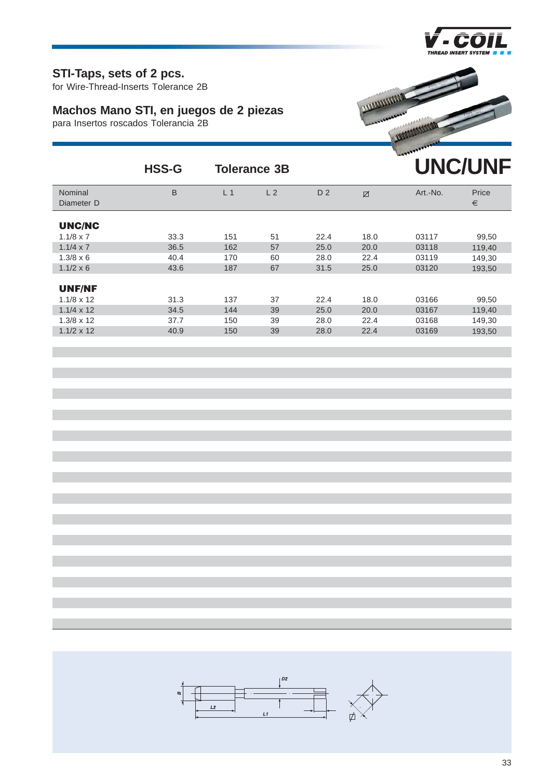

#### **STI-Taps, sets of 2 pcs.**

for Wire-Thread-Inserts Tolerance 2B

# **Machos Mano STI, en juegos de 2 piezas**

para Insertos roscados Tolerancia 2B



|                                    | <b>HSS-G</b> | <b>Tolerance 3B</b> |                |                |      |          | <b>UNC/UNF</b> |
|------------------------------------|--------------|---------------------|----------------|----------------|------|----------|----------------|
| Nominal<br>Diameter D              | B            | L <sub>1</sub>      | L <sub>2</sub> | D <sub>2</sub> | Ø    | Art.-No. | Price<br>€     |
| <b>UNC/NC</b>                      |              |                     |                |                |      |          |                |
| $1.1/8 \times 7$                   | 33.3         | 151                 | 51             | 22.4           | 18.0 | 03117    | 99,50          |
| $1.1/4 \times 7$                   | 36.5         | 162                 | 57             | 25.0           | 20.0 | 03118    | 119,40         |
| $1.3/8 \times 6$                   | 40.4         | 170                 | 60             | 28.0           | 22.4 | 03119    | 149,30         |
| $1.1/2 \times 6$                   | 43.6         | 187                 | 67             | 31.5           | 25.0 | 03120    | 193,50         |
| <b>UNF/NF</b><br>$1.1/8 \times 12$ | 31.3         | 137                 | 37             | 22.4           | 18.0 | 03166    |                |
|                                    | 34.5         |                     |                | 25.0           |      |          | 99,50          |
| $1.1/4 \times 12$                  |              | 144                 | 39             |                | 20.0 | 03167    | 119,40         |
| $1.3/8 \times 12$                  | 37.7         | 150                 | 39             | 28.0           | 22.4 | 03168    | 149,30         |
| $1.1/2 \times 12$                  | 40.9         | 150                 | 39             | 28.0           | 22.4 | 03169    | 193.50         |

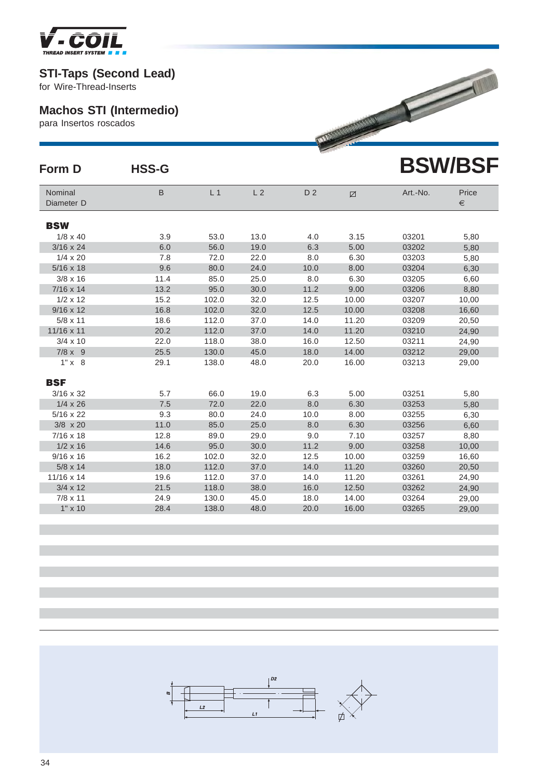

### **Machos STI (Intermedio)**

|                                                          | <b>STI-Taps (Second Lead)</b><br>for Wire-Thread-Inserts |                |                |                |                                       |          |                |  |  |  |  |
|----------------------------------------------------------|----------------------------------------------------------|----------------|----------------|----------------|---------------------------------------|----------|----------------|--|--|--|--|
| <b>Machos STI (Intermedio)</b><br>para Insertos roscados |                                                          |                |                |                | <b>PARTICULAR AND CONTROL CONTROL</b> |          |                |  |  |  |  |
| Form D                                                   | <b>HSS-G</b>                                             |                |                |                |                                       |          | <b>BSW/BSF</b> |  |  |  |  |
| Nominal<br>Diameter D                                    | $\sf B$                                                  | L <sub>1</sub> | L <sub>2</sub> | D <sub>2</sub> | Ø                                     | Art.-No. | Price<br>€     |  |  |  |  |
| <b>BSW</b>                                               |                                                          |                |                |                |                                       |          |                |  |  |  |  |
| $1/8 \times 40$                                          | 3.9                                                      | 53.0           | 13.0           | 4.0            | 3.15                                  | 03201    | 5,80           |  |  |  |  |
| $3/16 \times 24$                                         | 6.0                                                      | 56.0           | 19.0           | 6.3            | 5.00                                  | 03202    | 5,80           |  |  |  |  |
| $1/4 \times 20$                                          | 7.8                                                      | 72.0           | 22.0           | 8.0            | 6.30                                  | 03203    | 5,80           |  |  |  |  |
| $5/16 \times 18$                                         | 9.6                                                      | 80.0           | 24.0           | 10.0           | 8.00                                  | 03204    | 6,30           |  |  |  |  |
| $3/8 \times 16$                                          | 11.4                                                     | 85.0           | 25.0           | 8.0            | 6.30                                  | 03205    | 6,60           |  |  |  |  |
| $7/16 \times 14$                                         | 13.2                                                     | 95.0           | 30.0           | 11.2           | 9.00                                  | 03206    | 8,80           |  |  |  |  |
| $1/2 \times 12$                                          | 15.2                                                     | 102.0          | 32.0           | 12.5           | 10.00                                 | 03207    | 10,00          |  |  |  |  |
| $9/16 \times 12$                                         | 16.8                                                     | 102.0          | 32.0           | 12.5           | 10.00                                 | 03208    | 16,60          |  |  |  |  |
| $5/8 \times 11$                                          | 18.6                                                     | 112.0          | 37.0           | 14.0           | 11.20                                 | 03209    | 20,50          |  |  |  |  |
| 11/16 x 11                                               | 20.2                                                     | 112.0          | 37.0           | 14.0           | 11.20                                 | 03210    | 24,90          |  |  |  |  |
| $3/4 \times 10$                                          | 22.0                                                     | 118.0          | 38.0           | 16.0           | 12.50                                 | 03211    | 24,90          |  |  |  |  |
| $7/8 \times 9$                                           | 25.5                                                     | 130.0          | 45.0           | 18.0           | 14.00                                 | 03212    | 29,00          |  |  |  |  |
| $1" \times 8$                                            | 29.1                                                     | 138.0          | 48.0           | 20.0           | 16.00                                 | 03213    | 29,00          |  |  |  |  |
| <b>BSF</b>                                               |                                                          |                |                |                |                                       |          |                |  |  |  |  |
| $3/16 \times 32$                                         | 5.7                                                      | 66.0           | 19.0           | 6.3            | 5.00                                  | 03251    | 5,80           |  |  |  |  |
| $1/4 \times 26$                                          | 7.5                                                      | 72.0           | 22.0           | 8.0            | 6.30                                  | 03253    | 5,80           |  |  |  |  |
| $5/16 \times 22$                                         | 9.3                                                      | 80.0           | 24.0           | 10.0           | 8.00                                  | 03255    | 6,30           |  |  |  |  |
| $3/8 \times 20$                                          | 11.0                                                     | 85.0           | 25.0           | 8.0            | 6.30                                  | 03256    | 6,60           |  |  |  |  |
| $7/16 \times 18$                                         | 12.8                                                     | 89.0           | 29.0           | 9.0            | 7.10                                  | 03257    | 8,80           |  |  |  |  |
| $1/2 \times 16$                                          | 14.6                                                     | 95.0           | 30.0           | 11.2           | 9.00                                  | 03258    | 10,00          |  |  |  |  |
| $9/16 \times 16$                                         | 16.2                                                     | 102.0          | 32.0           | 12.5           | 10.00                                 | 03259    | 16,60          |  |  |  |  |
| $5/8 \times 14$                                          | 18.0                                                     | 112.0          | 37.0           | 14.0           | 11.20                                 | 03260    | 20,50          |  |  |  |  |
| 11/16 x 14                                               | 19.6                                                     | 112.0          | 37.0           | 14.0           | 11.20                                 | 03261    | 24,90          |  |  |  |  |
| $3/4 \times 12$                                          | 21.5                                                     | 118.0          | 38.0           | 16.0           | 12.50                                 | 03262    | 24,90          |  |  |  |  |
| $7/8 \times 11$                                          | 24.9                                                     | 130.0          | 45.0           | 18.0           | 14.00                                 | 03264    | 29,00          |  |  |  |  |
| $1" \times 10$                                           | 28.4                                                     | 138.0          | 48.0           | 20.0           | 16.00                                 | 03265    | 29,00          |  |  |  |  |

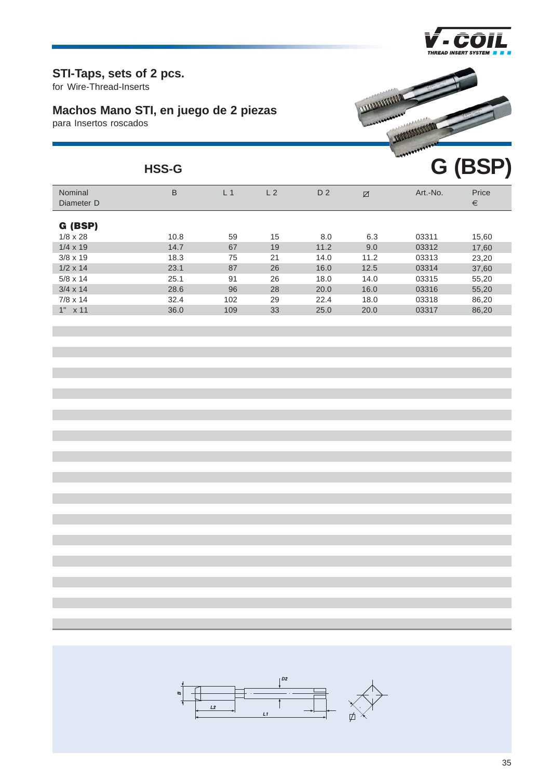

**G (BSP)**

#### **STI-Taps, sets of 2 pcs.**

for Wire-Thread-Inserts

# **Machos Mano STI, en juego de 2 piezas**

para Insertos roscados



#### **HSS-G**

| Nominal<br>Diameter D | B    | L 1 | L <sub>2</sub> | D <sub>2</sub> | Ø    | Art.-No. | Price<br>€ |
|-----------------------|------|-----|----------------|----------------|------|----------|------------|
| G (BSP)               |      |     |                |                |      |          |            |
| $1/8 \times 28$       | 10.8 | 59  | 15             | 8.0            | 6.3  | 03311    | 15,60      |
| $1/4 \times 19$       | 14.7 | 67  | 19             | 11.2           | 9.0  | 03312    | 17,60      |
| $3/8 \times 19$       | 18.3 | 75  | 21             | 14.0           | 11.2 | 03313    | 23,20      |
| $1/2 \times 14$       | 23.1 | 87  | 26             | 16.0           | 12.5 | 03314    | 37,60      |
| $5/8 \times 14$       | 25.1 | 91  | 26             | 18.0           | 14.0 | 03315    | 55,20      |
| $3/4 \times 14$       | 28.6 | 96  | 28             | 20.0           | 16.0 | 03316    | 55,20      |
| $7/8 \times 14$       | 32.4 | 102 | 29             | 22.4           | 18.0 | 03318    | 86,20      |
| 1"<br>x 11            | 36.0 | 109 | 33             | 25.0           | 20.0 | 03317    | 86,20      |
|                       |      |     |                |                |      |          |            |

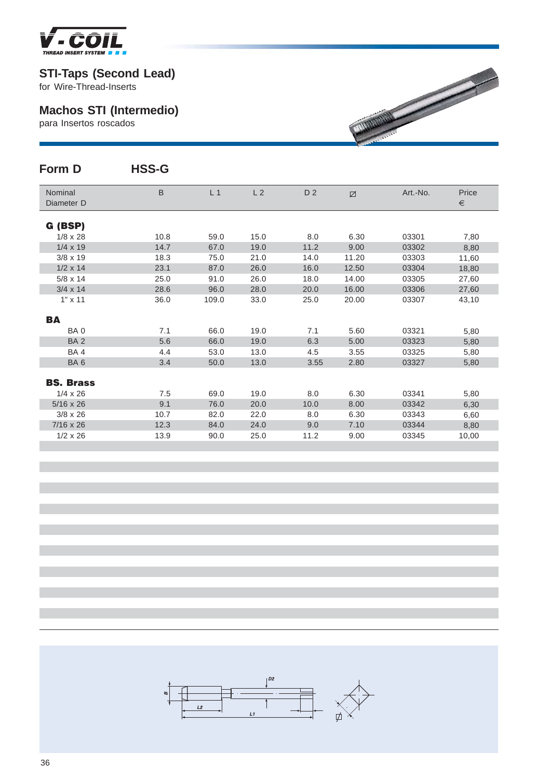

for Wire-Thread-Inserts

# **Machos STI (Intermedio)**

para Insertos roscados

| Form D                              | <b>HSS-G</b> |                |                |                |              |                |              |
|-------------------------------------|--------------|----------------|----------------|----------------|--------------|----------------|--------------|
| Nominal<br>Diameter D               | B            | L <sub>1</sub> | L <sub>2</sub> | D <sub>2</sub> | $\boxtimes$  | Art.-No.       | Price<br>€   |
| G (BSP)                             |              |                |                |                |              |                |              |
| $1/8 \times 28$                     | 10.8         | 59.0           | 15.0           | 8.0            | 6.30         | 03301          | 7,80         |
| $1/4 \times 19$                     | 14.7         | 67.0           | 19.0           | 11.2           | 9.00         | 03302          | 8,80         |
| $3/8 \times 19$                     | 18.3         | 75.0           | 21.0           | 14.0           | 11.20        | 03303          | 11,60        |
| $1/2 \times 14$                     | 23.1         | 87.0           | 26.0           | 16.0           | 12.50        | 03304          | 18,80        |
| $5/8 \times 14$                     | 25.0         | 91.0           | 26.0           | 18.0           | 14.00        | 03305          | 27,60        |
| $3/4 \times 14$                     | 28.6         | 96.0           | 28.0           | 20.0           | 16.00        | 03306          | 27,60        |
| $1" \times 11$                      | 36.0         | 109.0          | 33.0           | 25.0           | 20.00        | 03307          | 43,10        |
| BА                                  |              |                |                |                |              |                |              |
| BA <sub>0</sub>                     | 7.1          | 66.0           | 19.0           | 7.1            | 5.60         | 03321          | 5,80         |
| BA <sub>2</sub>                     | 5.6          | 66.0           | 19.0           | 6.3            | 5.00         | 03323          | 5,80         |
| BA4                                 | 4.4          | 53.0           | 13.0           | 4.5            | 3.55         | 03325          | 5,80         |
| BA6                                 | 3.4          | 50.0           | 13.0           | 3.55           | 2.80         | 03327          | 5,80         |
|                                     |              |                |                |                |              |                |              |
| <b>BS. Brass</b><br>$1/4 \times 26$ | 7.5          | 69.0           |                |                |              |                |              |
| $5/16 \times 26$                    | 9.1          | 76.0           | 19.0<br>20.0   | 8.0<br>10.0    | 6.30<br>8.00 | 03341<br>03342 | 5,80         |
| $3/8 \times 26$                     | 10.7         | 82.0           | 22.0           | 8.0            | 6.30         | 03343          | 6,30<br>6,60 |
| $7/16 \times 26$                    | 12.3         | 84.0           | 24.0           | 9.0            | 7.10         | 03344          | 8,80         |
| $1/2 \times 26$                     | 13.9         | 90.0           | 25.0           | 11.2           | 9.00         | 03345          | 10,00        |
|                                     |              |                |                |                |              |                |              |

**MARINE REPORT OF THE ABOVE AND REPORT OF THE ABOVE AND REPORT OF THE ABOVE AND REPORT OF THE ABOVE AND REPORT** 

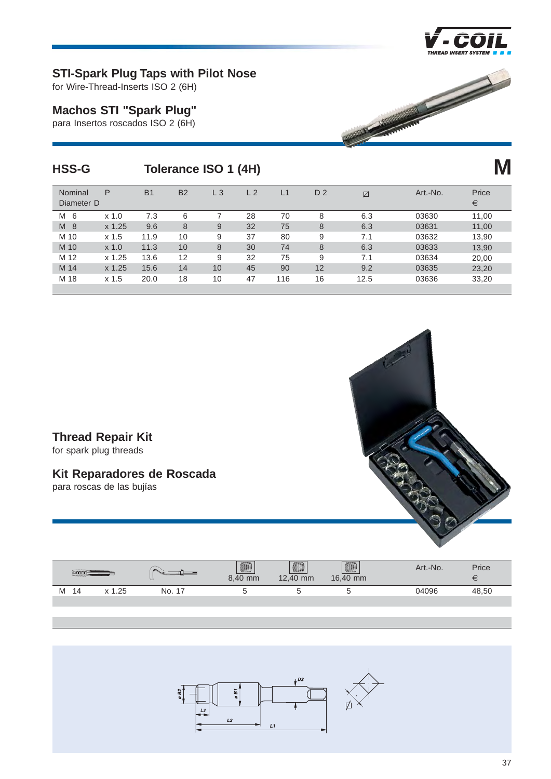

#### **STI-Spark Plug Taps with Pilot Nose**

for Wire-Thread-Inserts ISO 2 (6H)

#### **Machos STI "Spark Plug"**

para Insertos roscados ISO 2 (6H)

| <b>HSS-G</b>          |                  |           |           | Tolerance ISO 1 (4H) |                |                |                |      |          |                |
|-----------------------|------------------|-----------|-----------|----------------------|----------------|----------------|----------------|------|----------|----------------|
| Nominal<br>Diameter D | P                | <b>B1</b> | <b>B2</b> | $L_3$                | L <sub>2</sub> | L <sub>1</sub> | D <sub>2</sub> | Ø    | Art.-No. | Price<br>$\in$ |
| 6<br>M                | $x$ 1.0          | 7.3       | 6         | $\overline{ }$       | 28             | 70             | 8              | 6.3  | 03630    | 11,00          |
| M<br>-8               | x 1.25           | 9.6       | 8         | 9                    | 32             | 75             | 8              | 6.3  | 03631    | 11,00          |
| M 10                  | x <sub>1.5</sub> | 11.9      | 10        | 9                    | 37             | 80             | 9              | 7.1  | 03632    | 13,90          |
| M 10                  | $x$ 1.0          | 11.3      | 10        | 8                    | 30             | 74             | 8              | 6.3  | 03633    | 13,90          |
| M 12                  | $x\ 1.25$        | 13.6      | 12        | 9                    | 32             | 75             | 9              | 7.1  | 03634    | 20,00          |
| M 14                  | $x$ 1.25         | 15.6      | 14        | 10                   | 45             | 90             | 12             | 9.2  | 03635    | 23,20          |
| M 18                  | x <sub>1.5</sub> | 20.0      | 18        | 10                   | 47             | 116            | 16             | 12.5 | 03636    | 33,20          |
|                       |                  |           |           |                      |                |                |                |      |          |                |

#### **Thread Repair Kit**

for spark plug threads

#### **Kit Reparadores de Roscada**

para roscas de las bujías



|   |    |       |              | <b>Alling</b><br>8,40 mm | ammn<br><b>Alling</b><br>12,40 mm | <b>AND</b><br>16,40 mm | Art.-No. | Price<br>$\tilde{\phantom{a}}$ |
|---|----|-------|--------------|--------------------------|-----------------------------------|------------------------|----------|--------------------------------|
| M | 14 | . .25 | No.<br>$-17$ |                          |                                   | ◡                      | 04096    | 48,50                          |
|   |    |       |              |                          |                                   |                        |          |                                |

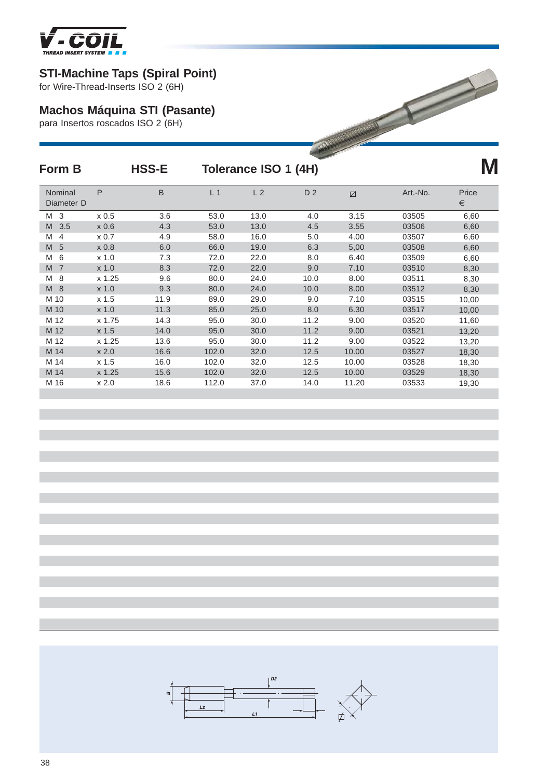

# **STI-Machine Taps (Spiral Point)**

# **Machos Máquina STI (Pasante)**

| <b>STI-Machine Taps (Spiral Point)</b><br>for Wire-Thread-Inserts ISO 2 (6H) |                  |                                                                          |                |                      |                |       |          |            |  |  |  |  |
|------------------------------------------------------------------------------|------------------|--------------------------------------------------------------------------|----------------|----------------------|----------------|-------|----------|------------|--|--|--|--|
|                                                                              |                  | <b>Machos Máquina STI (Pasante)</b><br>para Insertos roscados ISO 2 (6H) |                |                      |                |       |          |            |  |  |  |  |
| Form B                                                                       |                  | <b>HSS-E</b>                                                             |                | Tolerance ISO 1 (4H) |                |       |          |            |  |  |  |  |
| Nominal<br>Diameter D                                                        | P                | B                                                                        | L <sub>1</sub> | L <sub>2</sub>       | D <sub>2</sub> | Ø     | Art.-No. | Price<br>€ |  |  |  |  |
| M <sub>3</sub>                                                               | x <sub>0.5</sub> | 3.6                                                                      | 53.0           | 13.0                 | 4.0            | 3.15  | 03505    | 6,60       |  |  |  |  |
| 3.5<br>M                                                                     | x 0.6            | 4.3                                                                      | 53.0           | 13.0                 | 4.5            | 3.55  | 03506    | 6,60       |  |  |  |  |
| M<br>$\overline{4}$                                                          | $\times 0.7$     | 4.9                                                                      | 58.0           | 16.0                 | 5.0            | 4.00  | 03507    | 6,60       |  |  |  |  |
| M<br>5                                                                       | x 0.8            | 6.0                                                                      | 66.0           | 19.0                 | 6.3            | 5,00  | 03508    | 6,60       |  |  |  |  |
| 6<br>M                                                                       | $x$ 1.0          | 7.3                                                                      | 72.0           | 22.0                 | 8.0            | 6.40  | 03509    | 6,60       |  |  |  |  |
| M<br>$\overline{7}$                                                          | $x$ 1.0          | 8.3                                                                      | 72.0           | 22.0                 | 9.0            | 7.10  | 03510    | 8,30       |  |  |  |  |
| 8<br>M                                                                       | $x\ 1.25$        | 9.6                                                                      | 80.0           | 24.0                 | 10.0           | 8.00  | 03511    | 8,30       |  |  |  |  |
| M8                                                                           | $x$ 1.0          | 9.3                                                                      | 80.0           | 24.0                 | 10.0           | 8.00  | 03512    | 8,30       |  |  |  |  |
| M 10                                                                         | x <sub>1.5</sub> | 11.9                                                                     | 89.0           | 29.0                 | 9.0            | 7.10  | 03515    | 10,00      |  |  |  |  |
| M 10                                                                         | $x$ 1.0          | 11.3                                                                     | 85.0           | 25.0                 | 8.0            | 6.30  | 03517    | 10,00      |  |  |  |  |
| M 12                                                                         | x 1.75           | 14.3                                                                     | 95.0           | 30.0                 | 11.2           | 9.00  | 03520    | 11,60      |  |  |  |  |
| M 12                                                                         | x 1.5            | 14.0                                                                     | 95.0           | 30.0                 | 11.2           | 9.00  | 03521    | 13,20      |  |  |  |  |
| M 12                                                                         | $x\,1.25$        | 13.6                                                                     | 95.0           | 30.0                 | 11.2           | 9.00  | 03522    | 13,20      |  |  |  |  |
| M 14                                                                         | x 2.0            | 16.6                                                                     | 102.0          | 32.0                 | 12.5           | 10.00 | 03527    | 18,30      |  |  |  |  |
| M 14                                                                         | x <sub>1.5</sub> | 16.0                                                                     | 102.0          | 32.0                 | 12.5           | 10.00 | 03528    | 18,30      |  |  |  |  |
| M 14                                                                         | x 1.25           | 15.6                                                                     | 102.0          | 32.0                 | 12.5           | 10.00 | 03529    | 18,30      |  |  |  |  |
| M 16                                                                         | x 2.0            | 18.6                                                                     | 112.0          | 37.0                 | 14.0           | 11.20 | 03533    | 19,30      |  |  |  |  |

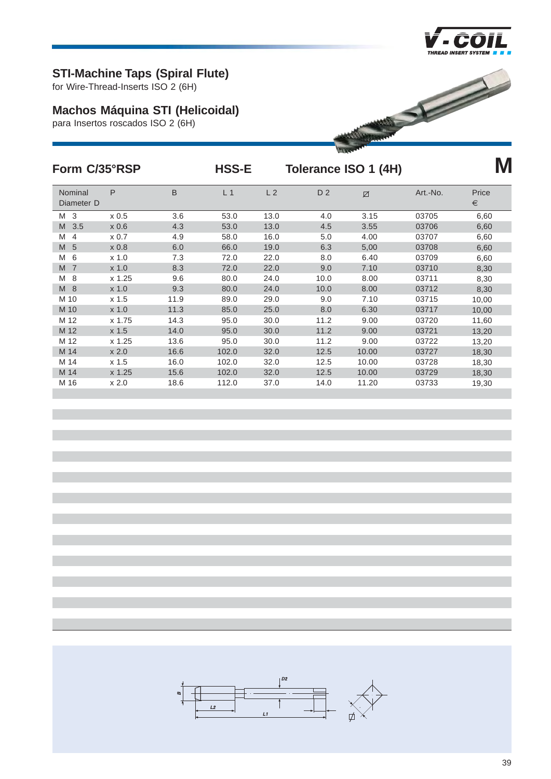

# **STI-Machine Taps (Spiral Flute)**

for Wire-Thread-Inserts ISO 2 (6H)

# **Machos Máquina STI (Helicoidal)**

para Insertos roscados ISO 2 (6H)



| Form C/35°RSP         |         |         | <b>HSS-E</b>   |                | Tolerance ISO 1 (4H) |       |          | M          |
|-----------------------|---------|---------|----------------|----------------|----------------------|-------|----------|------------|
| Nominal<br>Diameter D | P       | $\sf B$ | L <sub>1</sub> | L <sub>2</sub> | D <sub>2</sub>       | Ø     | Art.-No. | Price<br>€ |
| M <sub>3</sub>        | x 0.5   | 3.6     | 53.0           | 13.0           | 4.0                  | 3.15  | 03705    | 6,60       |
| M<br>3.5              | x 0.6   | 4.3     | 53.0           | 13.0           | 4.5                  | 3.55  | 03706    | 6,60       |
| M<br>4                | x 0.7   | 4.9     | 58.0           | 16.0           | 5.0                  | 4.00  | 03707    | 6,60       |
| M<br>5                | x 0.8   | 6.0     | 66.0           | 19.0           | 6.3                  | 5,00  | 03708    | 6,60       |
| M<br>6                | $x$ 1.0 | 7.3     | 72.0           | 22.0           | 8.0                  | 6.40  | 03709    | 6,60       |
| M<br>$\overline{7}$   | $x$ 1.0 | 8.3     | 72.0           | 22.0           | 9.0                  | 7.10  | 03710    | 8,30       |
| M<br>8                | x 1.25  | 9.6     | 80.0           | 24.0           | 10.0                 | 8.00  | 03711    | 8,30       |
| M<br>8                | x 1.0   | 9.3     | 80.0           | 24.0           | 10.0                 | 8.00  | 03712    | 8,30       |
| M 10                  | x 1.5   | 11.9    | 89.0           | 29.0           | 9.0                  | 7.10  | 03715    | 10,00      |
| M 10                  | $x$ 1.0 | 11.3    | 85.0           | 25.0           | 8.0                  | 6.30  | 03717    | 10,00      |
| M 12                  | x 1.75  | 14.3    | 95.0           | 30.0           | 11.2                 | 9.00  | 03720    | 11,60      |
| M 12                  | x 1.5   | 14.0    | 95.0           | 30.0           | 11.2                 | 9.00  | 03721    | 13,20      |
| M 12                  | x 1.25  | 13.6    | 95.0           | 30.0           | 11.2                 | 9.00  | 03722    | 13,20      |
| M 14                  | x 2.0   | 16.6    | 102.0          | 32.0           | 12.5                 | 10.00 | 03727    | 18,30      |
| M 14                  | x 1.5   | 16.0    | 102.0          | 32.0           | 12.5                 | 10.00 | 03728    | 18,30      |
| M 14                  | x 1.25  | 15.6    | 102.0          | 32.0           | 12.5                 | 10.00 | 03729    | 18,30      |
| M 16                  | x 2.0   | 18.6    | 112.0          | 37.0           | 14.0                 | 11.20 | 03733    | 19,30      |

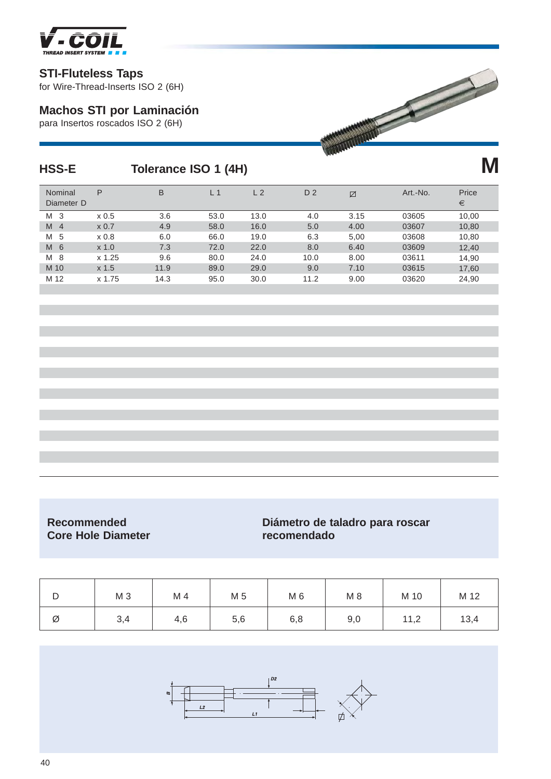

#### **STI-Fluteless Taps**

for Wire-Thread-Inserts ISO 2 (6H)

#### **Machos STI por Laminación**

para Insertos roscados ISO 2 (6H)



# **HSS-E Tolerance ISO 1 (4H)**

| Nominal<br>Diameter D | P                | B    | L <sub>1</sub> | L <sub>2</sub> | D <sub>2</sub> | Ø    | Art.-No. | Price<br>€ |
|-----------------------|------------------|------|----------------|----------------|----------------|------|----------|------------|
| M<br>-3               | x <sub>0.5</sub> | 3.6  | 53.0           | 13.0           | 4.0            | 3.15 | 03605    | 10,00      |
| M<br>$\overline{4}$   | $\times 0.7$     | 4.9  | 58.0           | 16.0           | 5.0            | 4.00 | 03607    | 10,80      |
| 5<br>M                | x 0.8            | 6.0  | 66.0           | 19.0           | 6.3            | 5,00 | 03608    | 10,80      |
| M<br>- 6              | $x$ 1.0          | 7.3  | 72.0           | 22.0           | 8.0            | 6.40 | 03609    | 12,40      |
| M 8                   | x 1.25           | 9.6  | 80.0           | 24.0           | 10.0           | 8.00 | 03611    | 14,90      |
| M 10                  | x <sub>1.5</sub> | 11.9 | 89.0           | 29.0           | 9.0            | 7.10 | 03615    | 17,60      |
| M 12                  | x 1.75           | 14.3 | 95.0           | 30.0           | 11.2           | 9.00 | 03620    | 24,90      |
|                       |                  |      |                |                |                |      |          |            |

# **Core Hole Diameter recomendado**

# **Recommended Diámetro de taladro para roscar**

| ◡ | M <sub>3</sub> | M 4 | M 5 | M 6 | $M_8$ | M 10 | M 12 |
|---|----------------|-----|-----|-----|-------|------|------|
| Ø | 3,4            | 4,6 | 5,6 | 6,8 | 9,0   | 11,2 | 13,4 |

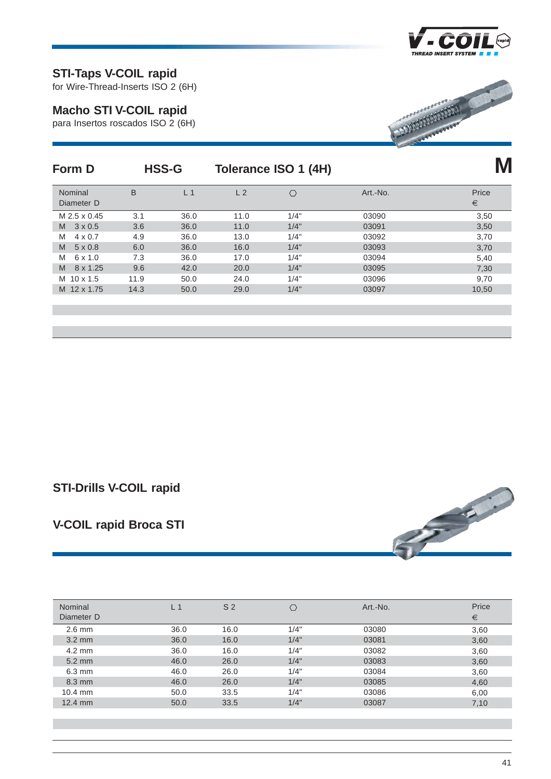

## **STI-Taps V-COIL rapid**

for Wire-Thread-Inserts ISO 2 (6H)

#### **Macho STI V-COIL rapid**

para Insertos roscados ISO 2 (6H)



| Form D                |      | <b>HSS-G</b>   |                | Tolerance ISO 1 (4H) |          |            |
|-----------------------|------|----------------|----------------|----------------------|----------|------------|
| Nominal<br>Diameter D | B    | L <sub>1</sub> | L <sub>2</sub> | Ö                    | Art.-No. | Price<br>€ |
| M 2.5 x 0.45          | 3.1  | 36.0           | 11.0           | 1/4"                 | 03090    | 3,50       |
| $3 \times 0.5$<br>M   | 3.6  | 36.0           | 11.0           | 1/4"                 | 03091    | 3,50       |
| M<br>$4 \times 0.7$   | 4.9  | 36.0           | 13.0           | 1/4"                 | 03092    | 3,70       |
| M<br>$5 \times 0.8$   | 6.0  | 36.0           | 16.0           | 1/4"                 | 03093    | 3,70       |
| M<br>$6 \times 1.0$   | 7.3  | 36.0           | 17.0           | 1/4"                 | 03094    | 5,40       |
| M<br>8 x 1.25         | 9.6  | 42.0           | 20.0           | 1/4"                 | 03095    | 7,30       |
| $10 \times 1.5$<br>M  | 11.9 | 50.0           | 24.0           | 1/4"                 | 03096    | 9,70       |
| M 12 x 1.75           | 14.3 | 50.0           | 29.0           | 1/4"                 | 03097    | 10,50      |
|                       |      |                |                |                      |          |            |
|                       |      |                |                |                      |          |            |

# **STI-Drills V-COIL rapid**

# **V-COIL rapid Broca STI**



| Nominal<br>Diameter D | L <sub>1</sub> | S <sub>2</sub> | Ō    | Art.-No. | Price<br>€ |
|-----------------------|----------------|----------------|------|----------|------------|
| $2.6$ mm              | 36.0           | 16.0           | 1/4" | 03080    | 3,60       |
| $3.2 \text{ mm}$      | 36.0           | 16.0           | 1/4" | 03081    | 3,60       |
| $4.2 \text{ mm}$      | 36.0           | 16.0           | 1/4" | 03082    | 3,60       |
| $5.2 \text{ mm}$      | 46.0           | 26.0           | 1/4" | 03083    | 3,60       |
| $6.3 \text{ mm}$      | 46.0           | 26.0           | 1/4" | 03084    | 3,60       |
| $8.3 \text{ mm}$      | 46.0           | 26.0           | 1/4" | 03085    | 4,60       |
| $10.4$ mm             | 50.0           | 33.5           | 1/4" | 03086    | 6,00       |
| $12.4 \text{ mm}$     | 50.0           | 33.5           | 1/4" | 03087    | 7,10       |